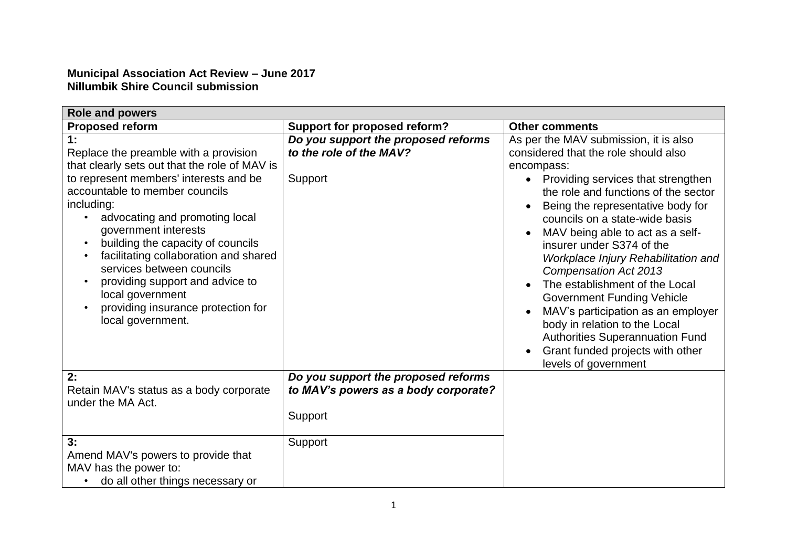## **Municipal Association Act Review – June 2017 Nillumbik Shire Council submission**

| <b>Role and powers</b>                                                                                                                                                                                                                                                                                                                                                                                                                                                        |                                                                                        |                                                                                                                                                                                                                                                                                                                                                                                                                                                                                                                                                                                                                                                           |  |
|-------------------------------------------------------------------------------------------------------------------------------------------------------------------------------------------------------------------------------------------------------------------------------------------------------------------------------------------------------------------------------------------------------------------------------------------------------------------------------|----------------------------------------------------------------------------------------|-----------------------------------------------------------------------------------------------------------------------------------------------------------------------------------------------------------------------------------------------------------------------------------------------------------------------------------------------------------------------------------------------------------------------------------------------------------------------------------------------------------------------------------------------------------------------------------------------------------------------------------------------------------|--|
| <b>Proposed reform</b>                                                                                                                                                                                                                                                                                                                                                                                                                                                        | <b>Support for proposed reform?</b>                                                    | <b>Other comments</b>                                                                                                                                                                                                                                                                                                                                                                                                                                                                                                                                                                                                                                     |  |
| 1:<br>Replace the preamble with a provision<br>that clearly sets out that the role of MAV is<br>to represent members' interests and be<br>accountable to member councils<br>including:<br>advocating and promoting local<br>government interests<br>building the capacity of councils<br>facilitating collaboration and shared<br>services between councils<br>providing support and advice to<br>local government<br>providing insurance protection for<br>local government. | Do you support the proposed reforms<br>to the role of the MAV?<br>Support              | As per the MAV submission, it is also<br>considered that the role should also<br>encompass:<br>Providing services that strengthen<br>$\bullet$<br>the role and functions of the sector<br>Being the representative body for<br>councils on a state-wide basis<br>MAV being able to act as a self-<br>insurer under S374 of the<br>Workplace Injury Rehabilitation and<br><b>Compensation Act 2013</b><br>The establishment of the Local<br><b>Government Funding Vehicle</b><br>MAV's participation as an employer<br>body in relation to the Local<br><b>Authorities Superannuation Fund</b><br>Grant funded projects with other<br>levels of government |  |
| 2:<br>Retain MAV's status as a body corporate<br>under the MA Act.                                                                                                                                                                                                                                                                                                                                                                                                            | Do you support the proposed reforms<br>to MAV's powers as a body corporate?<br>Support |                                                                                                                                                                                                                                                                                                                                                                                                                                                                                                                                                                                                                                                           |  |
| 3:<br>Amend MAV's powers to provide that<br>MAV has the power to:<br>do all other things necessary or                                                                                                                                                                                                                                                                                                                                                                         | Support                                                                                |                                                                                                                                                                                                                                                                                                                                                                                                                                                                                                                                                                                                                                                           |  |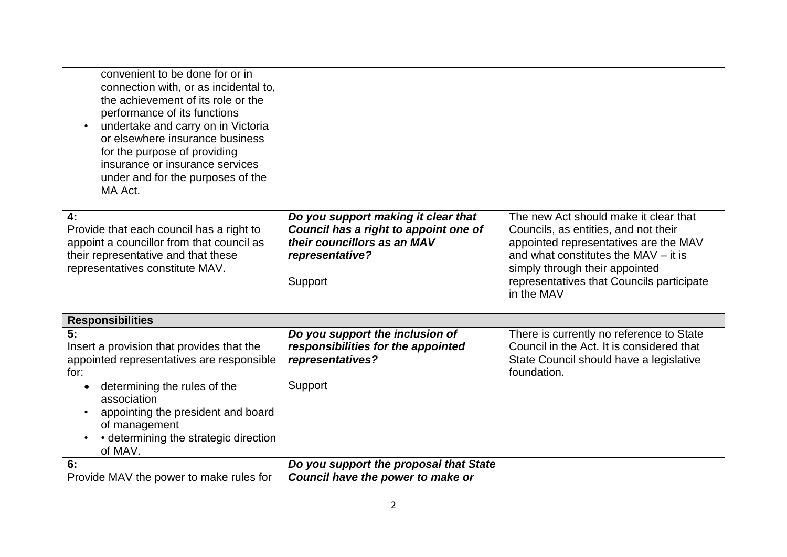| convenient to be done for or in<br>connection with, or as incidental to,<br>the achievement of its role or the<br>performance of its functions<br>undertake and carry on in Victoria<br>or elsewhere insurance business<br>for the purpose of providing<br>insurance or insurance services<br>under and for the purposes of the<br>MA Act. |                                                                                                                                           |                                                                                                                                                                                                                                                             |
|--------------------------------------------------------------------------------------------------------------------------------------------------------------------------------------------------------------------------------------------------------------------------------------------------------------------------------------------|-------------------------------------------------------------------------------------------------------------------------------------------|-------------------------------------------------------------------------------------------------------------------------------------------------------------------------------------------------------------------------------------------------------------|
| 4:<br>Provide that each council has a right to<br>appoint a councillor from that council as<br>their representative and that these<br>representatives constitute MAV.                                                                                                                                                                      | Do you support making it clear that<br>Council has a right to appoint one of<br>their councillors as an MAV<br>representative?<br>Support | The new Act should make it clear that<br>Councils, as entities, and not their<br>appointed representatives are the MAV<br>and what constitutes the MAV – it is<br>simply through their appointed<br>representatives that Councils participate<br>in the MAV |
| <b>Responsibilities</b>                                                                                                                                                                                                                                                                                                                    |                                                                                                                                           |                                                                                                                                                                                                                                                             |
| 5:<br>Insert a provision that provides that the<br>appointed representatives are responsible<br>for:<br>determining the rules of the<br>association<br>appointing the president and board<br>of management<br>• determining the strategic direction<br>of MAV.                                                                             | Do you support the inclusion of<br>responsibilities for the appointed<br>representatives?<br>Support                                      | There is currently no reference to State<br>Council in the Act. It is considered that<br>State Council should have a legislative<br>foundation.                                                                                                             |
| 6:<br>Provide MAV the power to make rules for                                                                                                                                                                                                                                                                                              | Do you support the proposal that State<br>Council have the power to make or                                                               |                                                                                                                                                                                                                                                             |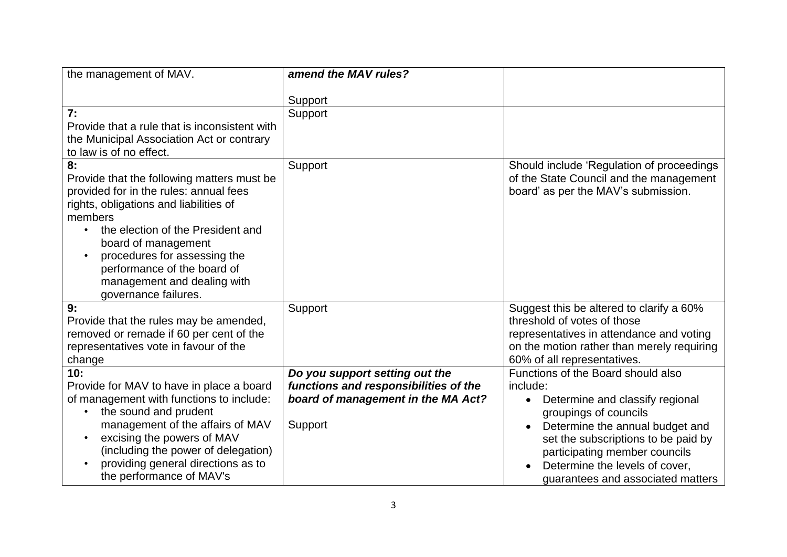| the management of MAV.                        | amend the MAV rules?                  |                                              |
|-----------------------------------------------|---------------------------------------|----------------------------------------------|
|                                               |                                       |                                              |
|                                               | Support                               |                                              |
| 7:                                            | Support                               |                                              |
| Provide that a rule that is inconsistent with |                                       |                                              |
| the Municipal Association Act or contrary     |                                       |                                              |
| to law is of no effect.                       |                                       |                                              |
| 8:                                            | Support                               | Should include 'Regulation of proceedings    |
| Provide that the following matters must be    |                                       | of the State Council and the management      |
| provided for in the rules: annual fees        |                                       | board' as per the MAV's submission.          |
| rights, obligations and liabilities of        |                                       |                                              |
| members                                       |                                       |                                              |
| the election of the President and             |                                       |                                              |
| board of management                           |                                       |                                              |
| procedures for assessing the                  |                                       |                                              |
| performance of the board of                   |                                       |                                              |
| management and dealing with                   |                                       |                                              |
| governance failures.                          |                                       |                                              |
| 9:                                            | Support                               | Suggest this be altered to clarify a 60%     |
| Provide that the rules may be amended,        |                                       | threshold of votes of those                  |
| removed or remade if 60 per cent of the       |                                       | representatives in attendance and voting     |
| representatives vote in favour of the         |                                       | on the motion rather than merely requiring   |
| change                                        |                                       | 60% of all representatives.                  |
| 10:                                           | Do you support setting out the        | Functions of the Board should also           |
| Provide for MAV to have in place a board      | functions and responsibilities of the | include:                                     |
| of management with functions to include:      | board of management in the MA Act?    |                                              |
| the sound and prudent                         |                                       | Determine and classify regional<br>$\bullet$ |
|                                               |                                       | groupings of councils                        |
| management of the affairs of MAV              | Support                               | Determine the annual budget and<br>$\bullet$ |
| excising the powers of MAV                    |                                       | set the subscriptions to be paid by          |
| (including the power of delegation)           |                                       | participating member councils                |
| providing general directions as to            |                                       | Determine the levels of cover,               |
| the performance of MAV's                      |                                       | guarantees and associated matters            |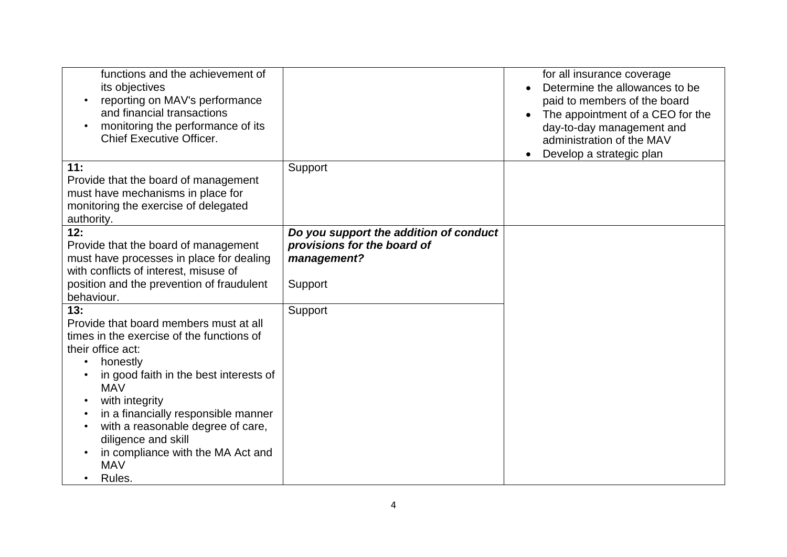| functions and the achievement of<br>its objectives<br>reporting on MAV's performance<br>and financial transactions<br>monitoring the performance of its<br><b>Chief Executive Officer.</b> |                                            | for all insurance coverage<br>Determine the allowances to be<br>paid to members of the board<br>The appointment of a CEO for the<br>day-to-day management and<br>administration of the MAV<br>Develop a strategic plan<br>$\bullet$ |
|--------------------------------------------------------------------------------------------------------------------------------------------------------------------------------------------|--------------------------------------------|-------------------------------------------------------------------------------------------------------------------------------------------------------------------------------------------------------------------------------------|
| 11:                                                                                                                                                                                        | Support                                    |                                                                                                                                                                                                                                     |
| Provide that the board of management<br>must have mechanisms in place for<br>monitoring the exercise of delegated<br>authority.                                                            |                                            |                                                                                                                                                                                                                                     |
| 12:                                                                                                                                                                                        | Do you support the addition of conduct     |                                                                                                                                                                                                                                     |
| Provide that the board of management<br>must have processes in place for dealing                                                                                                           | provisions for the board of<br>management? |                                                                                                                                                                                                                                     |
| with conflicts of interest, misuse of                                                                                                                                                      |                                            |                                                                                                                                                                                                                                     |
| position and the prevention of fraudulent                                                                                                                                                  | Support                                    |                                                                                                                                                                                                                                     |
| behaviour.                                                                                                                                                                                 |                                            |                                                                                                                                                                                                                                     |
| 13:                                                                                                                                                                                        | Support                                    |                                                                                                                                                                                                                                     |
| Provide that board members must at all<br>times in the exercise of the functions of                                                                                                        |                                            |                                                                                                                                                                                                                                     |
| their office act:                                                                                                                                                                          |                                            |                                                                                                                                                                                                                                     |
| honestly                                                                                                                                                                                   |                                            |                                                                                                                                                                                                                                     |
| in good faith in the best interests of<br><b>MAV</b>                                                                                                                                       |                                            |                                                                                                                                                                                                                                     |
| with integrity                                                                                                                                                                             |                                            |                                                                                                                                                                                                                                     |
| in a financially responsible manner                                                                                                                                                        |                                            |                                                                                                                                                                                                                                     |
| with a reasonable degree of care,<br>diligence and skill                                                                                                                                   |                                            |                                                                                                                                                                                                                                     |
| in compliance with the MA Act and<br><b>MAV</b>                                                                                                                                            |                                            |                                                                                                                                                                                                                                     |
| Rules.                                                                                                                                                                                     |                                            |                                                                                                                                                                                                                                     |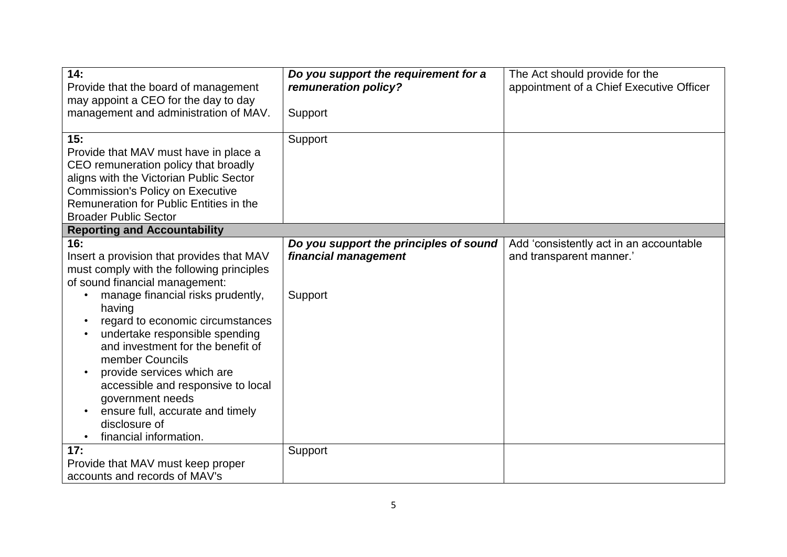| 14:<br>Provide that the board of management<br>may appoint a CEO for the day to day<br>management and administration of MAV.                                                                                                                                                                                                                                                                                                                                                        | Do you support the requirement for a<br>remuneration policy?<br>Support   | The Act should provide for the<br>appointment of a Chief Executive Officer |
|-------------------------------------------------------------------------------------------------------------------------------------------------------------------------------------------------------------------------------------------------------------------------------------------------------------------------------------------------------------------------------------------------------------------------------------------------------------------------------------|---------------------------------------------------------------------------|----------------------------------------------------------------------------|
| 15:<br>Provide that MAV must have in place a<br>CEO remuneration policy that broadly<br>aligns with the Victorian Public Sector<br><b>Commission's Policy on Executive</b><br>Remuneration for Public Entities in the<br><b>Broader Public Sector</b>                                                                                                                                                                                                                               | Support                                                                   |                                                                            |
| <b>Reporting and Accountability</b>                                                                                                                                                                                                                                                                                                                                                                                                                                                 |                                                                           |                                                                            |
| 16:<br>Insert a provision that provides that MAV<br>must comply with the following principles<br>of sound financial management:<br>manage financial risks prudently,<br>having<br>regard to economic circumstances<br>undertake responsible spending<br>and investment for the benefit of<br>member Councils<br>provide services which are<br>accessible and responsive to local<br>government needs<br>ensure full, accurate and timely<br>disclosure of<br>financial information. | Do you support the principles of sound<br>financial management<br>Support | Add 'consistently act in an accountable<br>and transparent manner.'        |
| 17:<br>Provide that MAV must keep proper<br>accounts and records of MAV's                                                                                                                                                                                                                                                                                                                                                                                                           | Support                                                                   |                                                                            |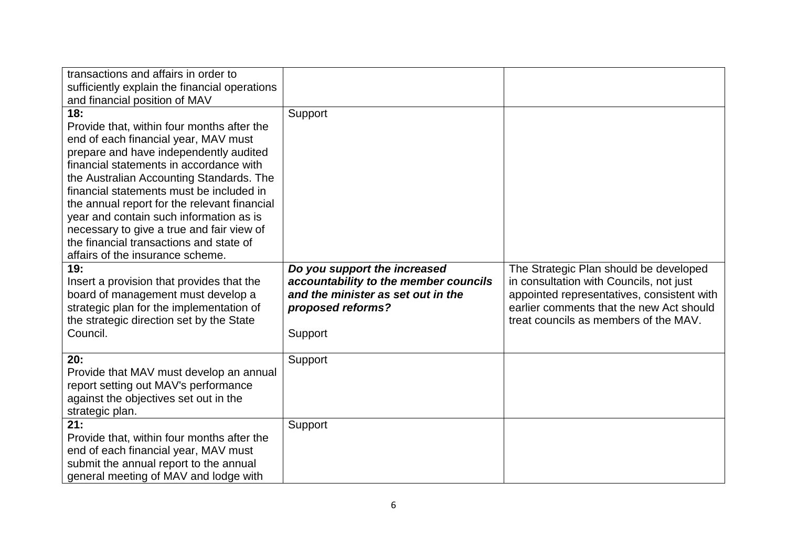| transactions and affairs in order to<br>sufficiently explain the financial operations<br>and financial position of MAV                                                                                                                                                                                                                                                                                                                                                                        |                                                                                                                                             |                                                                                                                                                                                                                      |
|-----------------------------------------------------------------------------------------------------------------------------------------------------------------------------------------------------------------------------------------------------------------------------------------------------------------------------------------------------------------------------------------------------------------------------------------------------------------------------------------------|---------------------------------------------------------------------------------------------------------------------------------------------|----------------------------------------------------------------------------------------------------------------------------------------------------------------------------------------------------------------------|
| 18:<br>Provide that, within four months after the<br>end of each financial year, MAV must<br>prepare and have independently audited<br>financial statements in accordance with<br>the Australian Accounting Standards. The<br>financial statements must be included in<br>the annual report for the relevant financial<br>year and contain such information as is<br>necessary to give a true and fair view of<br>the financial transactions and state of<br>affairs of the insurance scheme. | Support                                                                                                                                     |                                                                                                                                                                                                                      |
| 19:<br>Insert a provision that provides that the<br>board of management must develop a<br>strategic plan for the implementation of<br>the strategic direction set by the State<br>Council.                                                                                                                                                                                                                                                                                                    | Do you support the increased<br>accountability to the member councils<br>and the minister as set out in the<br>proposed reforms?<br>Support | The Strategic Plan should be developed<br>in consultation with Councils, not just<br>appointed representatives, consistent with<br>earlier comments that the new Act should<br>treat councils as members of the MAV. |
| 20:<br>Provide that MAV must develop an annual<br>report setting out MAV's performance<br>against the objectives set out in the<br>strategic plan.                                                                                                                                                                                                                                                                                                                                            | Support                                                                                                                                     |                                                                                                                                                                                                                      |
| 21:<br>Provide that, within four months after the<br>end of each financial year, MAV must<br>submit the annual report to the annual<br>general meeting of MAV and lodge with                                                                                                                                                                                                                                                                                                                  | Support                                                                                                                                     |                                                                                                                                                                                                                      |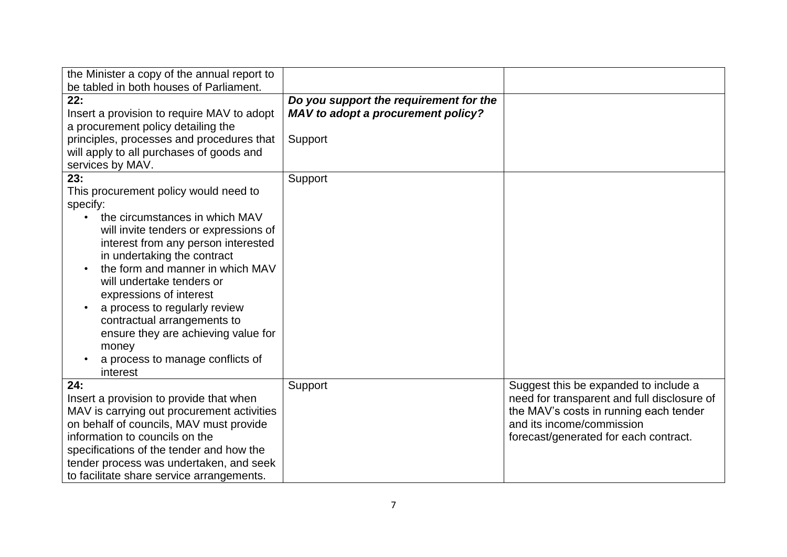| the Minister a copy of the annual report to |                                        |                                             |
|---------------------------------------------|----------------------------------------|---------------------------------------------|
| be tabled in both houses of Parliament.     |                                        |                                             |
| 22:                                         | Do you support the requirement for the |                                             |
| Insert a provision to require MAV to adopt  | MAV to adopt a procurement policy?     |                                             |
| a procurement policy detailing the          |                                        |                                             |
| principles, processes and procedures that   | Support                                |                                             |
| will apply to all purchases of goods and    |                                        |                                             |
| services by MAV.                            |                                        |                                             |
| 23:                                         | Support                                |                                             |
| This procurement policy would need to       |                                        |                                             |
| specify:                                    |                                        |                                             |
| the circumstances in which MAV              |                                        |                                             |
| will invite tenders or expressions of       |                                        |                                             |
| interest from any person interested         |                                        |                                             |
| in undertaking the contract                 |                                        |                                             |
| the form and manner in which MAV            |                                        |                                             |
| will undertake tenders or                   |                                        |                                             |
| expressions of interest                     |                                        |                                             |
| a process to regularly review               |                                        |                                             |
| contractual arrangements to                 |                                        |                                             |
| ensure they are achieving value for         |                                        |                                             |
| money                                       |                                        |                                             |
| a process to manage conflicts of            |                                        |                                             |
| interest                                    |                                        |                                             |
| 24:                                         | Support                                | Suggest this be expanded to include a       |
| Insert a provision to provide that when     |                                        | need for transparent and full disclosure of |
| MAV is carrying out procurement activities  |                                        | the MAV's costs in running each tender      |
| on behalf of councils, MAV must provide     |                                        | and its income/commission                   |
| information to councils on the              |                                        | forecast/generated for each contract.       |
| specifications of the tender and how the    |                                        |                                             |
| tender process was undertaken, and seek     |                                        |                                             |
| to facilitate share service arrangements.   |                                        |                                             |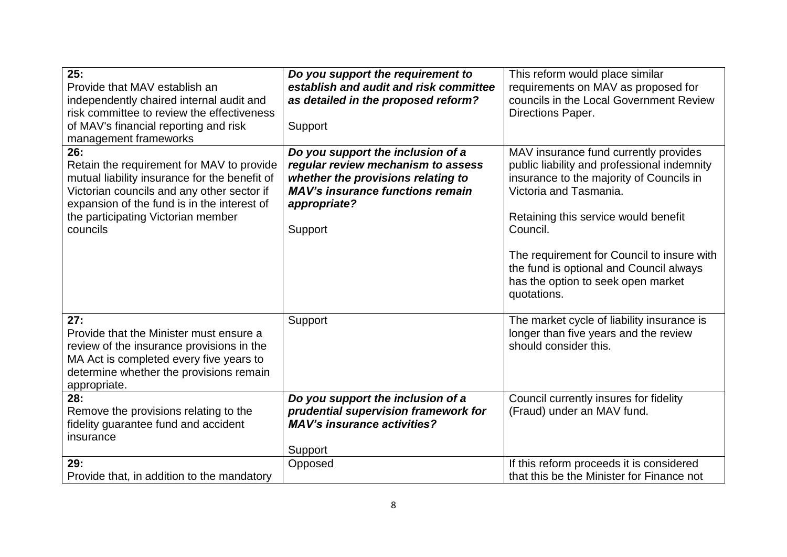| 25:<br>Provide that MAV establish an<br>independently chaired internal audit and<br>risk committee to review the effectiveness<br>of MAV's financial reporting and risk<br>management frameworks                                                 | Do you support the requirement to<br>establish and audit and risk committee<br>as detailed in the proposed reform?<br>Support                                                       | This reform would place similar<br>requirements on MAV as proposed for<br>councils in the Local Government Review<br>Directions Paper.                                                                                                                                                                                                                       |
|--------------------------------------------------------------------------------------------------------------------------------------------------------------------------------------------------------------------------------------------------|-------------------------------------------------------------------------------------------------------------------------------------------------------------------------------------|--------------------------------------------------------------------------------------------------------------------------------------------------------------------------------------------------------------------------------------------------------------------------------------------------------------------------------------------------------------|
| 26:<br>Retain the requirement for MAV to provide<br>mutual liability insurance for the benefit of<br>Victorian councils and any other sector if<br>expansion of the fund is in the interest of<br>the participating Victorian member<br>councils | Do you support the inclusion of a<br>regular review mechanism to assess<br>whether the provisions relating to<br><b>MAV's insurance functions remain</b><br>appropriate?<br>Support | MAV insurance fund currently provides<br>public liability and professional indemnity<br>insurance to the majority of Councils in<br>Victoria and Tasmania.<br>Retaining this service would benefit<br>Council.<br>The requirement for Council to insure with<br>the fund is optional and Council always<br>has the option to seek open market<br>quotations. |
| 27:<br>Provide that the Minister must ensure a<br>review of the insurance provisions in the<br>MA Act is completed every five years to<br>determine whether the provisions remain<br>appropriate.                                                | Support                                                                                                                                                                             | The market cycle of liability insurance is<br>longer than five years and the review<br>should consider this.                                                                                                                                                                                                                                                 |
| 28:<br>Remove the provisions relating to the<br>fidelity guarantee fund and accident<br>insurance                                                                                                                                                | Do you support the inclusion of a<br>prudential supervision framework for<br><b>MAV's insurance activities?</b><br>Support                                                          | Council currently insures for fidelity<br>(Fraud) under an MAV fund.                                                                                                                                                                                                                                                                                         |
| 29:<br>Provide that, in addition to the mandatory                                                                                                                                                                                                | Opposed                                                                                                                                                                             | If this reform proceeds it is considered<br>that this be the Minister for Finance not                                                                                                                                                                                                                                                                        |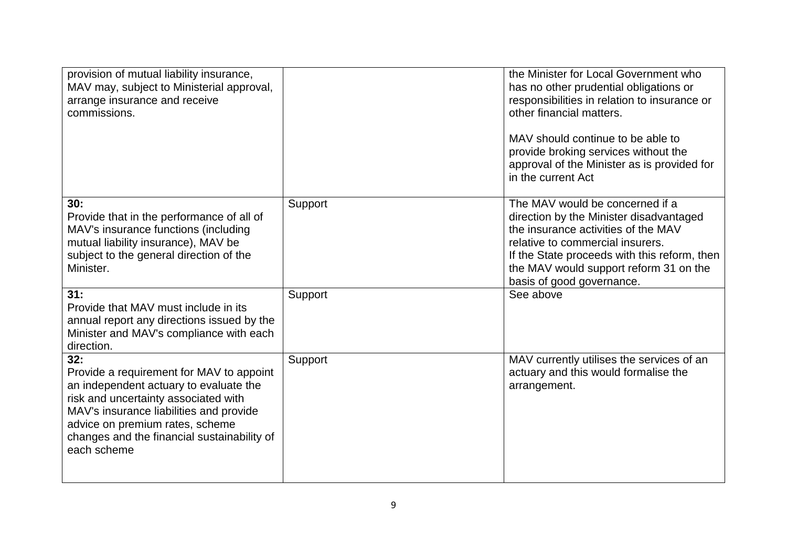| provision of mutual liability insurance,<br>MAV may, subject to Ministerial approval,<br>arrange insurance and receive<br>commissions.                                                                                                                                        |         | the Minister for Local Government who<br>has no other prudential obligations or<br>responsibilities in relation to insurance or<br>other financial matters.<br>MAV should continue to be able to<br>provide broking services without the<br>approval of the Minister as is provided for<br>in the current Act |
|-------------------------------------------------------------------------------------------------------------------------------------------------------------------------------------------------------------------------------------------------------------------------------|---------|---------------------------------------------------------------------------------------------------------------------------------------------------------------------------------------------------------------------------------------------------------------------------------------------------------------|
| 30:<br>Provide that in the performance of all of<br>MAV's insurance functions (including<br>mutual liability insurance), MAV be<br>subject to the general direction of the<br>Minister.                                                                                       | Support | The MAV would be concerned if a<br>direction by the Minister disadvantaged<br>the insurance activities of the MAV<br>relative to commercial insurers.<br>If the State proceeds with this reform, then<br>the MAV would support reform 31 on the<br>basis of good governance.                                  |
| 31:<br>Provide that MAV must include in its<br>annual report any directions issued by the<br>Minister and MAV's compliance with each<br>direction.                                                                                                                            | Support | See above                                                                                                                                                                                                                                                                                                     |
| 32:<br>Provide a requirement for MAV to appoint<br>an independent actuary to evaluate the<br>risk and uncertainty associated with<br>MAV's insurance liabilities and provide<br>advice on premium rates, scheme<br>changes and the financial sustainability of<br>each scheme | Support | MAV currently utilises the services of an<br>actuary and this would formalise the<br>arrangement.                                                                                                                                                                                                             |